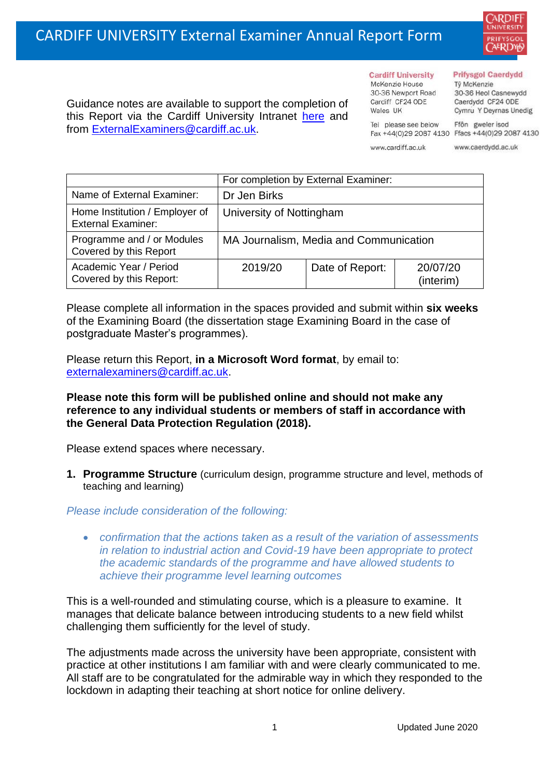

Guidance notes are available to support the completion of this Report via the Cardiff University Intranet [here](https://intranet.cardiff.ac.uk/staff/teaching-and-supporting-students/exams-and-assessment/exam-boards-and-external-examiners/for-current-external-examiners/external-examiners-reports) and from [ExternalExaminers@cardiff.ac.uk.](mailto:ExternalExaminers@cardiff.ac.uk)

# **Cardiff University**

McKenzie House 30-36 Newport Road Cardiff CF24 ODE Wales IIK

#### **Prifysgol Caerdydd**

Từ McKenzie 30-36 Heol Casnewydd Caerdydd CF24 ODE Cymru Y Deyrnas Unedig

Ffôn gweler isod Fax +44(0)29 2087 4130 Ffacs +44(0)29 2087 4130

www.cardiff.ac.uk

Tel please see below

www.caerdydd.ac.uk

|                                                             | For completion by External Examiner:   |                 |                       |
|-------------------------------------------------------------|----------------------------------------|-----------------|-----------------------|
| Name of External Examiner:                                  | Dr Jen Birks                           |                 |                       |
| Home Institution / Employer of<br><b>External Examiner:</b> | University of Nottingham               |                 |                       |
| Programme and / or Modules<br>Covered by this Report        | MA Journalism, Media and Communication |                 |                       |
| Academic Year / Period<br>Covered by this Report:           | 2019/20                                | Date of Report: | 20/07/20<br>(interim) |

Please complete all information in the spaces provided and submit within **six weeks** of the Examining Board (the dissertation stage Examining Board in the case of postgraduate Master's programmes).

Please return this Report, **in a Microsoft Word format**, by email to: [externalexaminers@cardiff.ac.uk.](mailto:externalexaminers@cardiff.ac.uk)

## **Please note this form will be published online and should not make any reference to any individual students or members of staff in accordance with the General Data Protection Regulation (2018).**

Please extend spaces where necessary.

**1. Programme Structure** (curriculum design, programme structure and level, methods of teaching and learning)

## *Please include consideration of the following:*

• *confirmation that the actions taken as a result of the variation of assessments in relation to industrial action and Covid-19 have been appropriate to protect the academic standards of the programme and have allowed students to achieve their programme level learning outcomes*

This is a well-rounded and stimulating course, which is a pleasure to examine. It manages that delicate balance between introducing students to a new field whilst challenging them sufficiently for the level of study.

The adjustments made across the university have been appropriate, consistent with practice at other institutions I am familiar with and were clearly communicated to me. All staff are to be congratulated for the admirable way in which they responded to the lockdown in adapting their teaching at short notice for online delivery.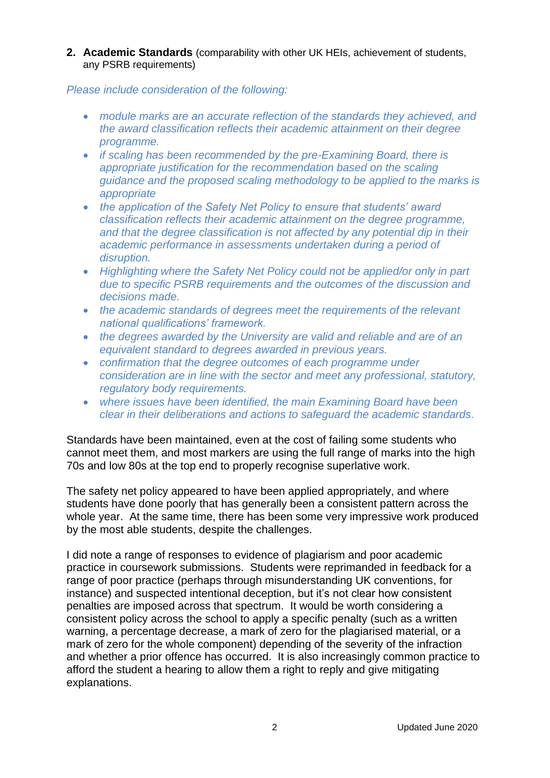**2. Academic Standards** (comparability with other UK HEIs, achievement of students, any PSRB requirements)

## *Please include consideration of the following:*

- *module marks are an accurate reflection of the standards they achieved, and the award classification reflects their academic attainment on their degree programme.*
- *if scaling has been recommended by the pre-Examining Board, there is appropriate justification for the recommendation based on the scaling guidance and the proposed scaling methodology to be applied to the marks is appropriate*
- *the application of the Safety Net Policy to ensure that students' award classification reflects their academic attainment on the degree programme, and that the degree classification is not affected by any potential dip in their academic performance in assessments undertaken during a period of disruption.*
- Highlighting where the Safety Net Policy could not be applied/or only in part *due to specific PSRB requirements and the outcomes of the discussion and decisions made.*
- *the academic standards of degrees meet the requirements of the relevant national qualifications' framework.*
- *the degrees awarded by the University are valid and reliable and are of an equivalent standard to degrees awarded in previous years.*
- *confirmation that the degree outcomes of each programme under consideration are in line with the sector and meet any professional, statutory, regulatory body requirements.*
- *where issues have been identified, the main Examining Board have been clear in their deliberations and actions to safeguard the academic standards.*

Standards have been maintained, even at the cost of failing some students who cannot meet them, and most markers are using the full range of marks into the high 70s and low 80s at the top end to properly recognise superlative work.

The safety net policy appeared to have been applied appropriately, and where students have done poorly that has generally been a consistent pattern across the whole year. At the same time, there has been some very impressive work produced by the most able students, despite the challenges.

I did note a range of responses to evidence of plagiarism and poor academic practice in coursework submissions. Students were reprimanded in feedback for a range of poor practice (perhaps through misunderstanding UK conventions, for instance) and suspected intentional deception, but it's not clear how consistent penalties are imposed across that spectrum. It would be worth considering a consistent policy across the school to apply a specific penalty (such as a written warning, a percentage decrease, a mark of zero for the plagiarised material, or a mark of zero for the whole component) depending of the severity of the infraction and whether a prior offence has occurred. It is also increasingly common practice to afford the student a hearing to allow them a right to reply and give mitigating explanations.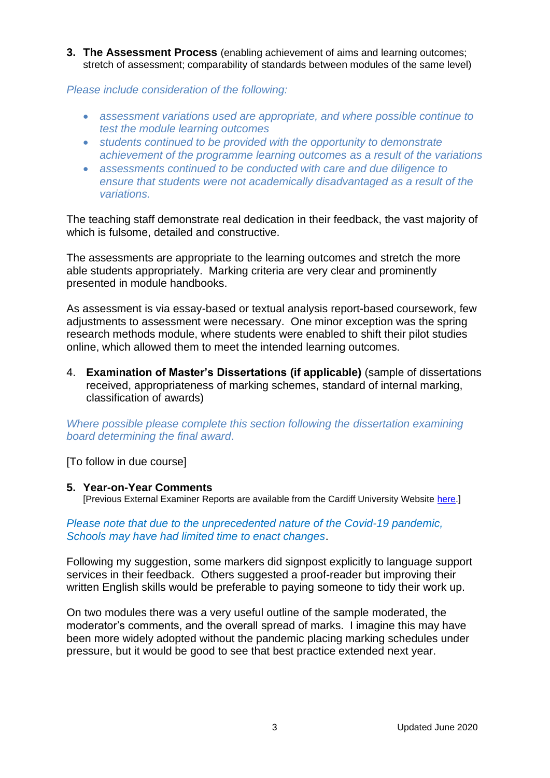**3. The Assessment Process** (enabling achievement of aims and learning outcomes; stretch of assessment; comparability of standards between modules of the same level)

*Please include consideration of the following:* 

- *assessment variations used are appropriate, and where possible continue to test the module learning outcomes*
- *students continued to be provided with the opportunity to demonstrate achievement of the programme learning outcomes as a result of the variations*
- *assessments continued to be conducted with care and due diligence to ensure that students were not academically disadvantaged as a result of the variations.*

The teaching staff demonstrate real dedication in their feedback, the vast majority of which is fulsome, detailed and constructive.

The assessments are appropriate to the learning outcomes and stretch the more able students appropriately. Marking criteria are very clear and prominently presented in module handbooks.

As assessment is via essay-based or textual analysis report-based coursework, few adjustments to assessment were necessary. One minor exception was the spring research methods module, where students were enabled to shift their pilot studies online, which allowed them to meet the intended learning outcomes.

4. **Examination of Master's Dissertations (if applicable)** (sample of dissertations received, appropriateness of marking schemes, standard of internal marking, classification of awards)

*Where possible please complete this section following the dissertation examining board determining the final award*.

[To follow in due course]

#### **5. Year-on-Year Comments**

[Previous External Examiner Reports are available from the Cardiff University Website [here.](https://www.cardiff.ac.uk/public-information/quality-and-standards/external-examiner-reports)]

### *Please note that due to the unprecedented nature of the Covid-19 pandemic, Schools may have had limited time to enact changes*.

Following my suggestion, some markers did signpost explicitly to language support services in their feedback. Others suggested a proof-reader but improving their written English skills would be preferable to paying someone to tidy their work up.

On two modules there was a very useful outline of the sample moderated, the moderator's comments, and the overall spread of marks. I imagine this may have been more widely adopted without the pandemic placing marking schedules under pressure, but it would be good to see that best practice extended next year.